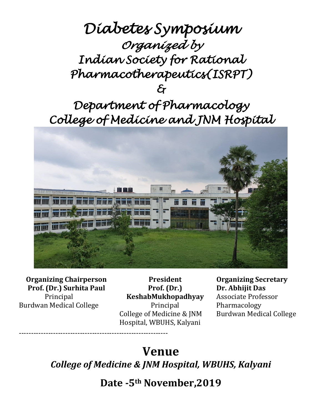# *Diabetes Symposium Organized by Indian Society for Rational Pharmacotherapeutics(ISRPT) &*

*Department of Pharmacology College of Medicine and JNM Hospital* 



**Organizing Chairperson Prof. (Dr.) Surhita Paul** Principal Burdwan Medical College

-------------------------------------------------------------

**President Prof. (Dr.) KeshabMukhopadhyay** Principal College of Medicine & JNM Hospital, WBUHS, Kalyani

**Organizing Secretary Dr. Abhijit Das**  Associate Professor Pharmacology Burdwan Medical College

# **Venue**

*College of Medicine & JNM Hospital, WBUHS, Kalyani*

**Date -5th November,2019**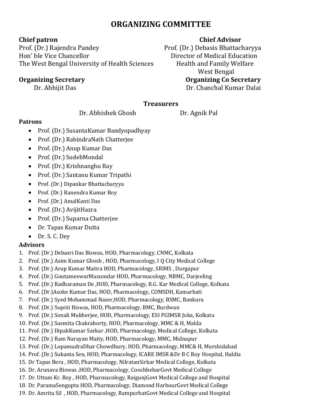## **ORGANIZING COMMITTEE**

Prof. (Dr.) Rajendra Pandey Prof. (Dr.) Debasis Bhattacharyya Hon' ble Vice Chancellor **Education** Director of Medical Education The West Bengal University of Health Sciences Health and Family Welfare

### **Chief patron Chief Advisor**

 West Bengal **Organizing Secretary Organizing Co Secretary** Dr. Abhijit Das **Dr. Chanchal Kumar Dalai** 

### **Treasurers**

Dr. Abhishek Ghosh Dr. Agnik Pal

#### **Patrons**

- Prof. (Dr.) SusantaKumar Bandyopadhyay
- Prof. (Dr.) RabindraNath Chatteriee
- Prof. (Dr.) Anup Kumar Das
- Prof. (Dr.) SudebMondal
- Prof. (Dr.) Krishnanghu Ray
- Prof. (Dr.) Santanu Kumar Tripathi
- Prof. (Dr.) Dipankar Bhattacharyya
- Prof. (Dr.) Ranendra Kumar Roy
- Prof. (Dr.) AmalKanti Das
- Prof. (Dr.) AvijitHazra
- Prof. (Dr.) Suparna Chatterjee
- Dr. Tapas Kumar Dutta
- Dr. S. C. Dey

### **Advisors**

- 1. Prof. (Dr.) Debasri Das Biswas, HOD, Pharmacology, CNMC, Kolkata
- 2. Prof. (Dr.) Asim Kumar Ghosh , HOD, Pharmacology, I Q City Medical College
- 3. Prof. (Dr.) Arup Kumar Maitra HOD, Pharmacology, SRIMS , Durgapur
- 4. Prof. (Dr.) GoutameswarMazumdar HOD, Pharmacology, NBMC, Darjeeling
- 5. Prof. (Dr.) Radharaman De ,HOD, Pharmacology, R.G. Kar Medical College, Kolkata
- 6. Prof. (Dr.)Asoke Kumar Das, HOD, Pharmacology, COMSDH, Kamarhati
- 7. Prof. (Dr.) Syed Mohammad Naser,HOD, Pharmacology, BSMC, Bankura
- 8. Prof. (Dr.) Supriti Biswas, HOD, Pharmacology, BMC, Burdwan
- 9. Prof. (Dr.) Sonali Mukherjee, HOD, Pharmacology, ESI PGIMSR Joka, Kolkata
- 10. Prof. (Dr.) Susmita Chakraborty, HOD, Pharmacology, MMC & H, Malda
- 11. Prof. (Dr.) DipakKumar Sarkar ,HOD, Pharmacology, Medical College, Kolkata
- 12. Prof. (Dr.) Ram Narayan Maity, HOD, Pharmacology, MMC, Midnapur
- 13. Prof. (Dr.) LopamudraDhar Chowdhury, HOD, Pharmacology, MMC& H, Murshidabad
- 14. Prof. (Dr.) Sukanta Sen, HOD, Pharmacology, ICARE IMSR &Dr B C Roy Hospital, Haldia
- 15. Dr Tapas Bera , HOD, Pharmacology, NilratanSirkar Medical College, Kolkata
- 16. Dr. Arunava Biswas ,HOD, Pharmacology, CoochbeharGovt Medical College
- 17. Dr. Uttam Kr. Roy , HOD, Pharmacology, RaigunjGovt Medical College and Hospital
- 18. Dr. ParamaSengupta HOD, Pharmacology, Diamond HarbourGovt Medical College
- 19. Dr. Amrita Sil , HOD, Pharmacology, RampurhatGovt Medical College and Hospital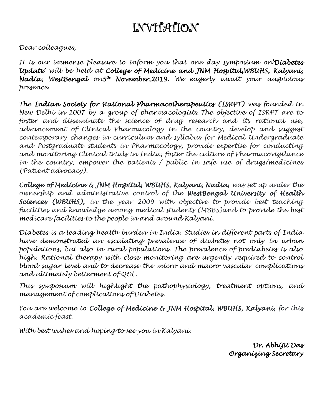## INVITATION

*Dear colleagues,*

*It is our immense pleasure to inform you that one day symposium on'Diabetes Update' will be held at College of Medicine and JNM Hospital,WBUHS, Kalyani, Nadia, WestBengal on5 th November,2019. We eagerly await your auspicious presence.*

*The Indian Society for Rational Pharmacotherapeutics (ISRPT) was founded in New Delhi in 2007 by a group of pharmacologists. The objective of ISRPT are to foster and disseminate the science of drug research and its rational use, advancement of Clinical Pharmacology in the country, develop and suggest contemporary changes in curriculum and syllabus for Medical Undergraduate and Postgraduate students in Pharmacology, provide expertise for conducting and monitoring Clinical trials in India, foster the culture of Pharmacovigilance in the country, empower the patients / public in safe use of drugs/medicines (Patient advocacy).*

*College of Medicine & JNM Hospital, WBUHS, Kalyani, Nadia, was set up under the ownership and administrative control of the WestBengal University of Health Sciences (WBUHS), in the year 2009 with objective to provide best teaching facilities and knowledge among medical students (MBBS)and to provide the best medicare facilities to the people in and around Kalyani.* 

*Diabetes is a leading health burden in India. Studies in different parts of India have demonstrated an escalating prevalence of diabetes not only in urban populations, but also in rural populations. The prevalence of prediabetes is also high. Rational therapy with close monitoring are urgently required to control blood sugar level and to decrease the micro and macro vascular complications and ultimately betterment of QOL.*

*This symposium will highlight the pathophysiology, treatment options, and management of complications of Diabetes.*

*You are welcome to College of Medicine & JNM Hospital, WBUHS, Kalyani, for this academic feast.* 

*With best wishes and hoping to see you in Kalyani.*

*Dr. Abhijit Das Organizing Secretary*